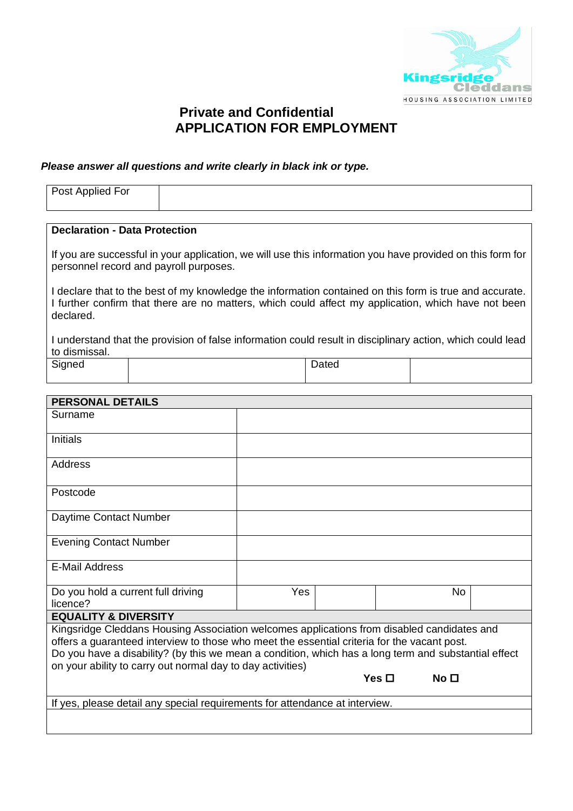

# **Private and Confidential APPLICATION FOR EMPLOYMENT**

#### *Please answer all questions and write clearly in black ink or type.*

| Post Applied For              |  |
|-------------------------------|--|
| Declaration - Data Protection |  |

If you are successful in your application, we will use this information you have provided on this form for personnel record and payroll purposes.

I declare that to the best of my knowledge the information contained on this form is true and accurate. I further confirm that there are no matters, which could affect my application, which have not been declared.

I understand that the provision of false information could result in disciplinary action, which could lead to dismissal.

| Signed | Dated |  |
|--------|-------|--|
|        |       |  |

| <b>PERSONAL DETAILS</b>                                                                                                                                                                                                                                                                                                                                         |     |  |            |                  |  |
|-----------------------------------------------------------------------------------------------------------------------------------------------------------------------------------------------------------------------------------------------------------------------------------------------------------------------------------------------------------------|-----|--|------------|------------------|--|
| Surname                                                                                                                                                                                                                                                                                                                                                         |     |  |            |                  |  |
| Initials                                                                                                                                                                                                                                                                                                                                                        |     |  |            |                  |  |
| Address                                                                                                                                                                                                                                                                                                                                                         |     |  |            |                  |  |
| Postcode                                                                                                                                                                                                                                                                                                                                                        |     |  |            |                  |  |
| Daytime Contact Number                                                                                                                                                                                                                                                                                                                                          |     |  |            |                  |  |
| <b>Evening Contact Number</b>                                                                                                                                                                                                                                                                                                                                   |     |  |            |                  |  |
| <b>E-Mail Address</b>                                                                                                                                                                                                                                                                                                                                           |     |  |            |                  |  |
| Do you hold a current full driving<br>licence?                                                                                                                                                                                                                                                                                                                  | Yes |  |            | No.              |  |
| <b>EQUALITY &amp; DIVERSITY</b>                                                                                                                                                                                                                                                                                                                                 |     |  |            |                  |  |
| Kingsridge Cleddans Housing Association welcomes applications from disabled candidates and<br>offers a guaranteed interview to those who meet the essential criteria for the vacant post.<br>Do you have a disability? (by this we mean a condition, which has a long term and substantial effect<br>on your ability to carry out normal day to day activities) |     |  |            |                  |  |
|                                                                                                                                                                                                                                                                                                                                                                 |     |  | Yes $\Box$ | No <sub>II</sub> |  |
| If yes, please detail any special requirements for attendance at interview.                                                                                                                                                                                                                                                                                     |     |  |            |                  |  |
|                                                                                                                                                                                                                                                                                                                                                                 |     |  |            |                  |  |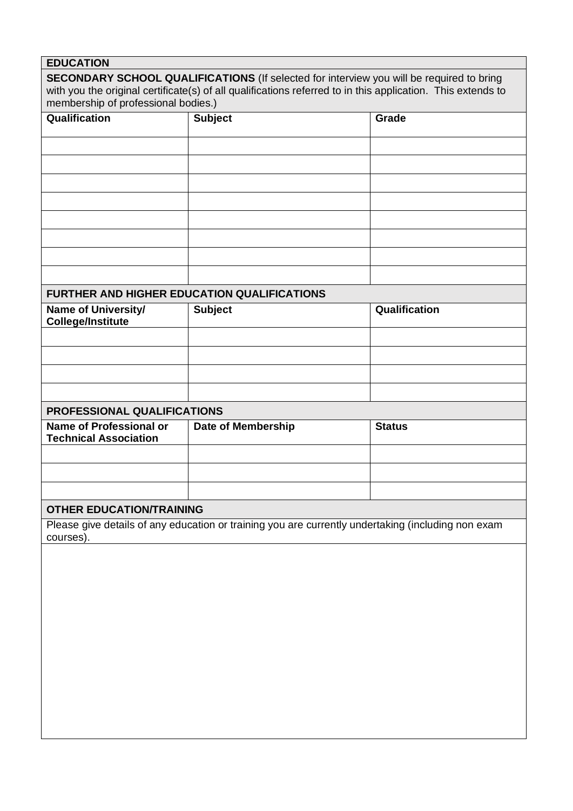| <b>EDUCATION</b>                                                                                                |                           |               |  |  |  |
|-----------------------------------------------------------------------------------------------------------------|---------------------------|---------------|--|--|--|
| <b>SECONDARY SCHOOL QUALIFICATIONS</b> (If selected for interview you will be required to bring                 |                           |               |  |  |  |
| with you the original certificate(s) of all qualifications referred to in this application. This extends to     |                           |               |  |  |  |
| membership of professional bodies.)                                                                             |                           |               |  |  |  |
| Qualification                                                                                                   | <b>Subject</b>            | Grade         |  |  |  |
|                                                                                                                 |                           |               |  |  |  |
|                                                                                                                 |                           |               |  |  |  |
|                                                                                                                 |                           |               |  |  |  |
|                                                                                                                 |                           |               |  |  |  |
|                                                                                                                 |                           |               |  |  |  |
|                                                                                                                 |                           |               |  |  |  |
|                                                                                                                 |                           |               |  |  |  |
|                                                                                                                 |                           |               |  |  |  |
|                                                                                                                 |                           |               |  |  |  |
|                                                                                                                 |                           |               |  |  |  |
| <b>FURTHER AND HIGHER EDUCATION QUALIFICATIONS</b>                                                              |                           |               |  |  |  |
| Name of University/                                                                                             | <b>Subject</b>            | Qualification |  |  |  |
| <b>College/Institute</b>                                                                                        |                           |               |  |  |  |
|                                                                                                                 |                           |               |  |  |  |
|                                                                                                                 |                           |               |  |  |  |
|                                                                                                                 |                           |               |  |  |  |
|                                                                                                                 |                           |               |  |  |  |
|                                                                                                                 |                           |               |  |  |  |
| PROFESSIONAL QUALIFICATIONS                                                                                     |                           |               |  |  |  |
| <b>Name of Professional or</b><br><b>Technical Association</b>                                                  | <b>Date of Membership</b> | <b>Status</b> |  |  |  |
|                                                                                                                 |                           |               |  |  |  |
|                                                                                                                 |                           |               |  |  |  |
|                                                                                                                 |                           |               |  |  |  |
|                                                                                                                 |                           |               |  |  |  |
| <b>OTHER EDUCATION/TRAINING</b>                                                                                 |                           |               |  |  |  |
| Please give details of any education or training you are currently undertaking (including non exam<br>courses). |                           |               |  |  |  |
|                                                                                                                 |                           |               |  |  |  |
|                                                                                                                 |                           |               |  |  |  |
|                                                                                                                 |                           |               |  |  |  |
|                                                                                                                 |                           |               |  |  |  |
|                                                                                                                 |                           |               |  |  |  |
|                                                                                                                 |                           |               |  |  |  |
|                                                                                                                 |                           |               |  |  |  |
|                                                                                                                 |                           |               |  |  |  |
|                                                                                                                 |                           |               |  |  |  |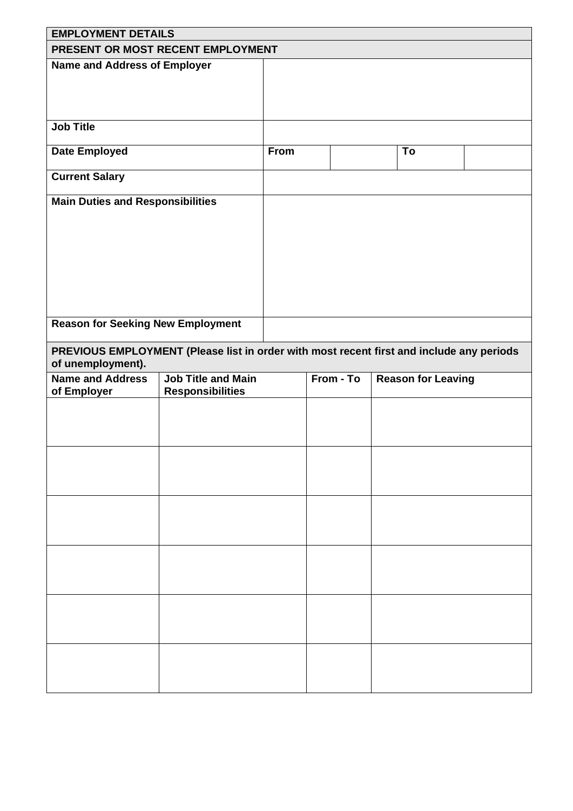|                                                                                                               | <b>EMPLOYMENT DETAILS</b> |             |           |  |                           |  |
|---------------------------------------------------------------------------------------------------------------|---------------------------|-------------|-----------|--|---------------------------|--|
| PRESENT OR MOST RECENT EMPLOYMENT                                                                             |                           |             |           |  |                           |  |
| <b>Name and Address of Employer</b>                                                                           |                           |             |           |  |                           |  |
| <b>Job Title</b>                                                                                              |                           |             |           |  |                           |  |
| <b>Date Employed</b>                                                                                          |                           | <b>From</b> |           |  | To                        |  |
| <b>Current Salary</b>                                                                                         |                           |             |           |  |                           |  |
| <b>Main Duties and Responsibilities</b>                                                                       |                           |             |           |  |                           |  |
|                                                                                                               |                           |             |           |  |                           |  |
|                                                                                                               |                           |             |           |  |                           |  |
|                                                                                                               |                           |             |           |  |                           |  |
|                                                                                                               |                           |             |           |  |                           |  |
|                                                                                                               |                           |             |           |  |                           |  |
|                                                                                                               |                           |             |           |  |                           |  |
| <b>Reason for Seeking New Employment</b>                                                                      |                           |             |           |  |                           |  |
| PREVIOUS EMPLOYMENT (Please list in order with most recent first and include any periods<br>of unemployment). |                           |             |           |  |                           |  |
| <b>Name and Address</b>                                                                                       | <b>Job Title and Main</b> |             | From - To |  | <b>Reason for Leaving</b> |  |
| of Employer                                                                                                   | <b>Responsibilities</b>   |             |           |  |                           |  |
|                                                                                                               |                           |             |           |  |                           |  |
|                                                                                                               |                           |             |           |  |                           |  |
|                                                                                                               |                           |             |           |  |                           |  |
|                                                                                                               |                           |             |           |  |                           |  |
|                                                                                                               |                           |             |           |  |                           |  |
|                                                                                                               |                           |             |           |  |                           |  |
|                                                                                                               |                           |             |           |  |                           |  |
|                                                                                                               |                           |             |           |  |                           |  |
|                                                                                                               |                           |             |           |  |                           |  |
|                                                                                                               |                           |             |           |  |                           |  |
|                                                                                                               |                           |             |           |  |                           |  |
|                                                                                                               |                           |             |           |  |                           |  |
|                                                                                                               |                           |             |           |  |                           |  |
|                                                                                                               |                           |             |           |  |                           |  |
|                                                                                                               |                           |             |           |  |                           |  |
|                                                                                                               |                           |             |           |  |                           |  |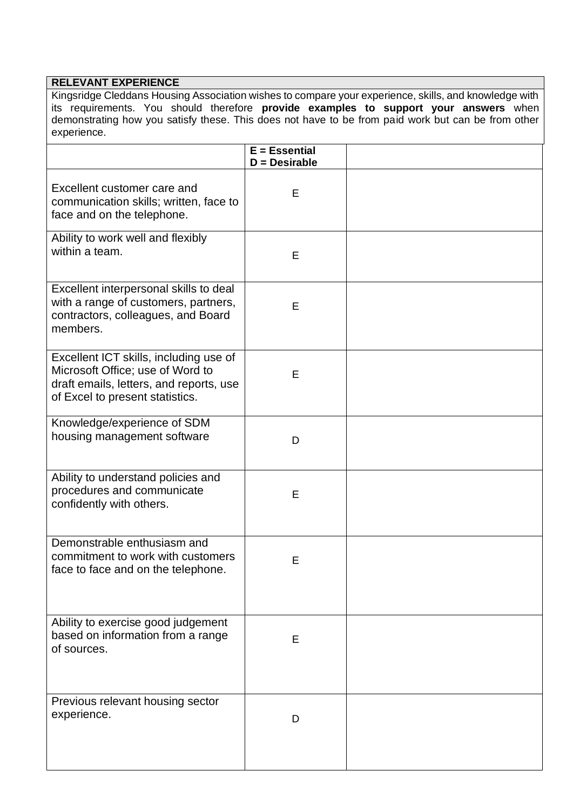### **RELEVANT EXPERIENCE**

Kingsridge Cleddans Housing Association wishes to compare your experience, skills, and knowledge with its requirements. You should therefore **provide examples to support your answers** when demonstrating how you satisfy these. This does not have to be from paid work but can be from other experience.

|                                                                                                                                                          | $E = E$ ssential<br>$D =$ Desirable |  |
|----------------------------------------------------------------------------------------------------------------------------------------------------------|-------------------------------------|--|
| Excellent customer care and<br>communication skills; written, face to<br>face and on the telephone.                                                      | Е                                   |  |
| Ability to work well and flexibly<br>within a team.                                                                                                      | Е                                   |  |
| Excellent interpersonal skills to deal<br>with a range of customers, partners,<br>contractors, colleagues, and Board<br>members.                         | E                                   |  |
| Excellent ICT skills, including use of<br>Microsoft Office; use of Word to<br>draft emails, letters, and reports, use<br>of Excel to present statistics. | Е                                   |  |
| Knowledge/experience of SDM<br>housing management software                                                                                               | D                                   |  |
| Ability to understand policies and<br>procedures and communicate<br>confidently with others.                                                             | Е                                   |  |
| Demonstrable enthusiasm and<br>commitment to work with customers<br>face to face and on the telephone.                                                   | Е                                   |  |
| Ability to exercise good judgement<br>based on information from a range<br>of sources.                                                                   | Е                                   |  |
| Previous relevant housing sector<br>experience.                                                                                                          | D                                   |  |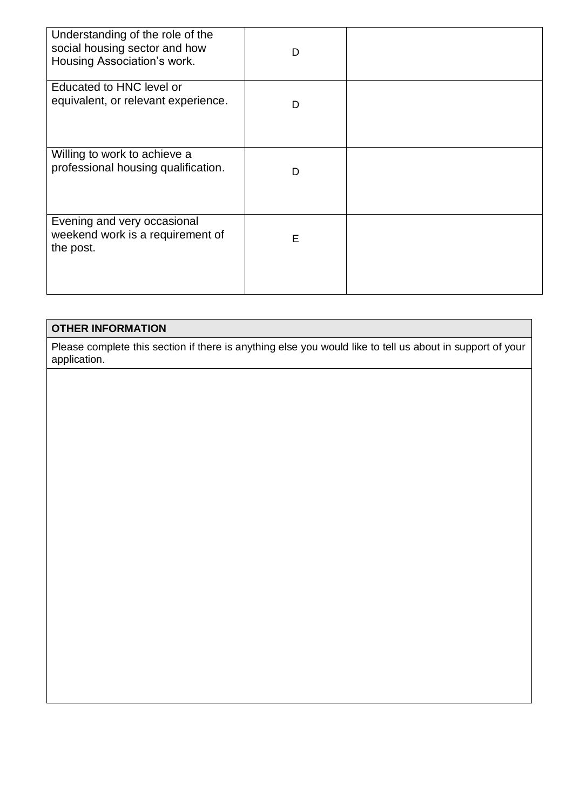| Understanding of the role of the<br>social housing sector and how<br>Housing Association's work. | D |  |
|--------------------------------------------------------------------------------------------------|---|--|
| Educated to HNC level or<br>equivalent, or relevant experience.                                  | D |  |
| Willing to work to achieve a<br>professional housing qualification.                              | D |  |
| Evening and very occasional<br>weekend work is a requirement of<br>the post.                     | E |  |

# **OTHER INFORMATION**

Please complete this section if there is anything else you would like to tell us about in support of your application.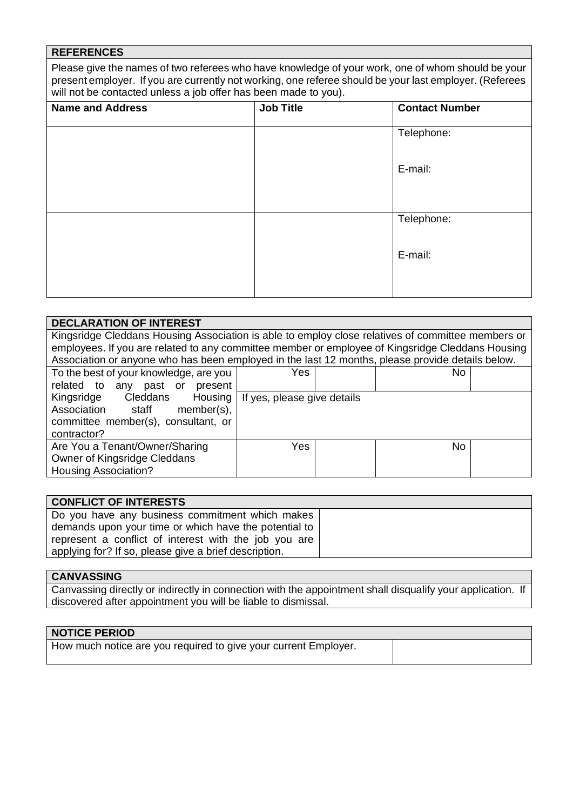# **REFERENCES**

Please give the names of two referees who have knowledge of your work, one of whom should be your present employer. If you are currently not working, one referee should be your last employer. (Referees will not be contacted unless a job offer has been made to you).

| <b>Name and Address</b> | <b>Job Title</b> | <b>Contact Number</b> |
|-------------------------|------------------|-----------------------|
|                         |                  | Telephone:            |
|                         |                  | E-mail:               |
|                         |                  | Telephone:            |
|                         |                  | E-mail:               |
|                         |                  |                       |

| <b>DECLARATION OF INTEREST</b>                                                                    |  |  |  |  |  |  |
|---------------------------------------------------------------------------------------------------|--|--|--|--|--|--|
| Kingsridge Cleddans Housing Association is able to employ close relatives of committee members or |  |  |  |  |  |  |
| employees. If you are related to any committee member or employee of Kingsridge Cleddans Housing  |  |  |  |  |  |  |
| Association or anyone who has been employed in the last 12 months, please provide details below.  |  |  |  |  |  |  |
| To the best of your knowledge, are you<br>Yes<br>No.                                              |  |  |  |  |  |  |
| related to<br>any past or present                                                                 |  |  |  |  |  |  |
| Kingsridge Cleddans Housing<br>If yes, please give details                                        |  |  |  |  |  |  |
| Association staff<br>member(s),                                                                   |  |  |  |  |  |  |
| committee member(s), consultant, or                                                               |  |  |  |  |  |  |
| contractor?                                                                                       |  |  |  |  |  |  |
| Are You a Tenant/Owner/Sharing<br>Yes<br>No.                                                      |  |  |  |  |  |  |
| Owner of Kingsridge Cleddans                                                                      |  |  |  |  |  |  |
| <b>Housing Association?</b>                                                                       |  |  |  |  |  |  |

| <b>CONFLICT OF INTERESTS</b>                          |  |
|-------------------------------------------------------|--|
| Do you have any business commitment which makes       |  |
| demands upon your time or which have the potential to |  |
| represent a conflict of interest with the job you are |  |
| applying for? If so, please give a brief description. |  |

## **CANVASSING**

Canvassing directly or indirectly in connection with the appointment shall disqualify your application. If discovered after appointment you will be liable to dismissal.

#### **NOTICE PERIOD**

How much notice are you required to give your current Employer.